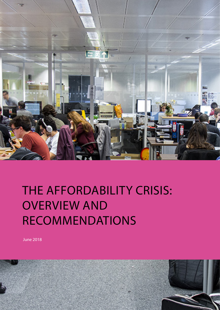

### THE AFFORDABILITY CRISIS: OVERVIEW AND RECOMMENDATIONS

June 2018

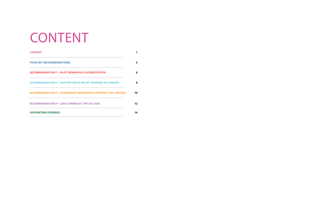| <b>CONTEXT</b>                                                     |    |
|--------------------------------------------------------------------|----|
| <b>FOUR KEY RECOMMENDATIONS</b>                                    | 3  |
| <b>RECOMMENDATION 1 - PILOT WORKSPACE ACCREDITATION</b>            | 6  |
| <b>RECOMMENDATION 2 - SUPPORT RATES RELIEF TRAINING IN LONDON</b>  | 8  |
| <b>RECOMMENDATION 3 - COORDINATE WORKSPACE STRATEGY FOR LONDON</b> | 10 |
| <b>RECOMMENDATION 4 - LEAD CHANGE AT THE UK LEVEL</b>              | 12 |
| <b>SUPPORTING EVIDENCE</b>                                         | 14 |

## CONTENT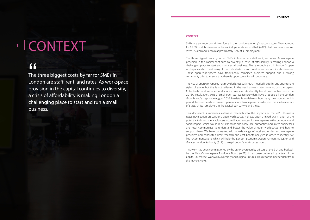The three biggest costs by far for SMEs in London are staff, rent, and rates. As workspace provision in the capital continues to diversify, a crisis of affordability is making London a challenging place to start and run a small business. **f** f<br>The<br>Long

### **1** CONTEXT

#### **CONTEXT**

SMEs are an important driving force in the London economy's success story. They account for 99.8% of all businesses in the capital, generate around half (48%) of all business turnover (over £500m) and sustain approximately 52% of all employment.

The three biggest costs by far for SMEs in London are staff, rent, and rates. As workspace provision in the capital continues to diversify, a crisis of affordability is making London a challenging place to start and run a small business. This is especially so in London's open workspaces which host many of London's start-ups and creative and social micro businesses. These open workspaces have traditionally combined business support and a strong community offer to ensure that there is opportunity for all Londoners.

The rise of open workspaces has provided SMEs with much needed flexibility and appropriate styles of space, but this is not reflected in the way business rates work across the capital. Collectively London's open workspaces' business rates liability has almost doubled since the 2016/7 revaluation. 30% of small open workspace providers have dropped off the London Growth Hub's map since August 2016. No data is available on how many have opened in this period. London needs to remain open to shared workspace providers so that its diverse mix of SMEs, critical employers in the capital, can survive and thrive.

This document summarises extensive research into the impacts of the 2016 Business Rates Revaluation on London's open workspaces. It draws upon a linked examination of the potential to introduce a voluntary accreditation system for workspaces with community and social impact which would raise standards and allow local authorities and micro businesses and local communities to understand better the value of open workspaces and how to support them. We have connected with a wide range of local authorities and workspace providers and conducted desk research and cost benefit analyses in order to identify five key recommendations which will help the London Economic Action Partnership (LEAP) and Greater London Authority (GLA) to Keep London's workspaces open.

This work has been commissioned by the LEAP, overseen by officers at the GLA and backed by the Mayor's Workspace Providers Board (WPB). It has been delivered by a team from Capital Enterprise, WorkWILD, Nordicity and Original Futures. This report is independent from the Mayor's views.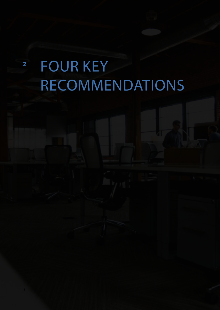## <sup>2</sup> FOUR KEY RECOMMENDATIONS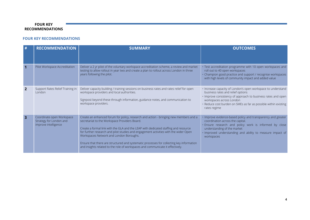#### **FOUR KEY RECOMMENDATIONS**

#### **FOUR KEY RECOMMENDATIONS**

| #                       | <b>RECOMMENDATION</b>                                                        | <b>SUMMARY</b>                                                                                                                                                                                                                                                                                                                                                                                                                                                                                                                                 | <b>OUTCOMES</b>                                                                                                                                                                                                                                                                  |
|-------------------------|------------------------------------------------------------------------------|------------------------------------------------------------------------------------------------------------------------------------------------------------------------------------------------------------------------------------------------------------------------------------------------------------------------------------------------------------------------------------------------------------------------------------------------------------------------------------------------------------------------------------------------|----------------------------------------------------------------------------------------------------------------------------------------------------------------------------------------------------------------------------------------------------------------------------------|
|                         | Pilot Workspace Accreditation                                                | Deliver a 2 yr pilot of the voluntary workspace accreditation scheme, a review and market<br>testing to allow rollout in year two and create a plan to rollout across London in three<br>years following the pilot.                                                                                                                                                                                                                                                                                                                            | · Test accreditation programme with 10 open workspaces and<br>roll out to 40 open workspaces<br>Champion good practice and support / recognise workspaces<br>with high levels of community impact and added value                                                                |
| $\overline{2}$          | Support Rates Relief Training in<br>London                                   | Deliver capacity building / training sessions on business rates and rates relief for open<br>workspace providers and local authorities.<br>Signpost beyond these through information, guidance notes, and communication to<br>workspace providers.                                                                                                                                                                                                                                                                                             | · Increase capacity of London's open workspace to understand<br>business rates and relief options<br>· Improve consistency of approach to business rates and open<br>workspaces across London<br>· Reduce cost burden on SMEs as far as possible within existing<br>rates regime |
| $\overline{\mathbf{3}}$ | Coordinate open Workspace<br>Strategy for London and<br>improve intelligence | Create an enhanced forum for policy, research and action - bringing new members and a<br>secretariat to the Workspace Providers Board.<br>Create a formal link with the GLA and the LEAP with dedicated staffing and resource<br>for further research and pilot studies and engagement activities with the wider Open<br>Workspaces Network and London Boroughs.<br>Ensure that there are structured and systematic processes for collecting key information<br>and insights related to the role of workspaces and communicate it effectively. | Improve evidence-based policy and transparency and greater<br>coordination across the capital.<br>· Ensure research and policy work is informed by close<br>understanding of the market<br>· Improved understanding and ability to measure impact of<br>workspaces               |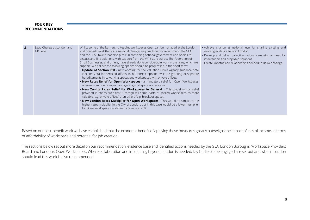#### **FOUR KEY RECOMMENDATIONS**

| $\boldsymbol{4}$ | Lead Change at London and<br>UK Level | Whilst some of the barriers to keeping workspaces open can be managed at the London<br>and borough level, there are national changes required that we recommend the GLA<br>and the LEAP take a leadership role in convening national government and bodies to<br>discuss and find solutions, with support from the WPB as required. The Federation of<br>Small Businesses, and others, have already done considerable work in this area, which we<br>support. We believe the following options should be progressed in the short term:<br>. Update of Section 730 - new wording for the Valuation Office Agency guidance note<br>(Section 730) for serviced offices to be more emphatic over the granting of separate<br>hereditaments in coworking spaces and workspaces with private offices.<br><b>New Rates Relief for Open Workspaces</b> - a mandatory relief for 'Open Workspaces'<br>offering community impact and gaining workspace accreditation.<br>New Zoning Rates Relief for Workspaces in General - This would mirror relief<br>provided in shops such that it recognises some parts of shared workspaces as more<br>valuable (e.g. private offices) than others (e.g. breakout space).<br>New London Rates Multiplier for Open Workspaces - This would be similar to the<br>higher rates multiplier in the City of London, but in this case would be a lower multiplier<br>for Open Workspaces as defined above, e.g. 25%. | . Achieve change at national level by sharing existing and<br>evolving evidence base in London<br>. Develop and deliver collective national campaign on need for<br>intervention and proposed solutions<br>· Create impetus and relationships needed to deliver change |
|------------------|---------------------------------------|--------------------------------------------------------------------------------------------------------------------------------------------------------------------------------------------------------------------------------------------------------------------------------------------------------------------------------------------------------------------------------------------------------------------------------------------------------------------------------------------------------------------------------------------------------------------------------------------------------------------------------------------------------------------------------------------------------------------------------------------------------------------------------------------------------------------------------------------------------------------------------------------------------------------------------------------------------------------------------------------------------------------------------------------------------------------------------------------------------------------------------------------------------------------------------------------------------------------------------------------------------------------------------------------------------------------------------------------------------------------------------------------------------------------------------------------|------------------------------------------------------------------------------------------------------------------------------------------------------------------------------------------------------------------------------------------------------------------------|
|------------------|---------------------------------------|--------------------------------------------------------------------------------------------------------------------------------------------------------------------------------------------------------------------------------------------------------------------------------------------------------------------------------------------------------------------------------------------------------------------------------------------------------------------------------------------------------------------------------------------------------------------------------------------------------------------------------------------------------------------------------------------------------------------------------------------------------------------------------------------------------------------------------------------------------------------------------------------------------------------------------------------------------------------------------------------------------------------------------------------------------------------------------------------------------------------------------------------------------------------------------------------------------------------------------------------------------------------------------------------------------------------------------------------------------------------------------------------------------------------------------------------|------------------------------------------------------------------------------------------------------------------------------------------------------------------------------------------------------------------------------------------------------------------------|

Based on our cost-benefit work we have established that the economic benefit of applying these measures greatly outweighs the impact of loss of income, in terms of affordability of workspace and potential for job creation.

The sections below set out more detail on our recommendation, evidence base and identified actions needed by the GLA, London Boroughs, Workspace Providers Board and London's Open Workspaces. Where collaboration and influencing beyond London is needed, key bodies to be engaged are set out and who in London should lead this work is also recommended.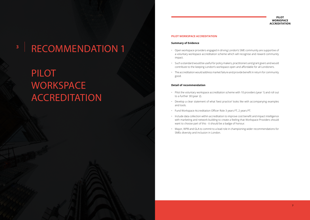### <sup>3</sup> RECOMMENDATION 1

## PILOT **WORKSPACE** ACCREDITATION

#### **PILOT WORKSPACE ACCREDITATION**

#### **PILOT WORKSPACE ACCREDITATION**

#### **Summary of Evidence**

- Open workspace providers engaged in driving London's SME community are supportive of a voluntary workspace accreditation scheme which will recognise and reward community impact.
- Such a standard would be useful for policy makers, practitioners and grant givers and would contribute to the keeping London's workspace open and affordable for all Londoners.
- The accreditation would address market failure and provide benefit in return for community good.

#### **Detail of recommendation**

- Pilot the voluntary workspace accreditation scheme with 10 providers (year 1) and roll out to a further 30 (year 2).
- Develop a clear statement of what 'best practice' looks like with accompanying examples and tools.
- Fund Workspace Accreditation Officer Role 3 years FT, 2 years PT.
- Include data collection within accreditation to improve cost benefit and impact intelligence with marketing and network building to create a feeling that Workspace Providers should want to choose part of this - it should be a badge of honour.
- Mayor, WPB and GLA to commit to a lead role in championing wider recommendations for SMEs diversity and inclusion in London.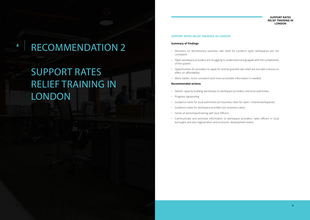### **<sup>4</sup>** RECOMMENDATION 2

## SUPPORT RATES RELIEF TRAINING IN **LONDON**

#### **SUPPORT RATES RELIEF TRAINING IN LONDON**

#### **SUPPORT RATES RELIEF TRAINING IN LONDON**

#### **Summary of Findings**

- Decisions on discretionary business rate relief for London's open workspaces are not consistent.
- Open workspace providers are struggling to understand and grapple with the complexities of the system.
- Opportunities for providers to apply for and be granted rate relief are lost with a knock-on effect on affordability
- More, better, more consistent and more accessible information is needed.

#### **Recommended actions**

- Deliver capacity building workshops to workspace providers and local authorities
- Progress signposting
- 
- Guidance notes for local authorities (on business rates for open / shared workspaces) • Guidance notes for workspace providers (on business rates)
- Series of workshops/training with GLA Officers
- Communicate and promote information to workspace providers, rates officers in local boroughs and also regeneration and economic development teams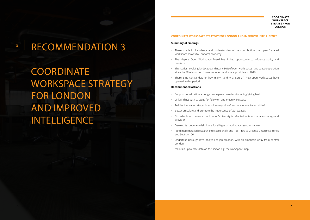### **<sup>5</sup>** RECOMMENDATION 3

COORDINATE WORKSPACE STRATEGY FOR LONDON AND IMPROVED INTELLIGENCE

#### **COORDINATE WORKSPACE STRATEGY FOR LONDON**

#### **COORDINATE WORKSPACE STRATEGY FOR LONDON AND IMPROVED INTELLIGENCE**

#### **Summary of Findings**

- There is a lack of evidence and understanding of the contribution that open / shared workspace makes to London's economy
- The Mayor's Open Workspace Board has limited opportunity to influence policy and provision
- This is a fast-evolving landscape and nearly 30% of open workspaces have ceased operation since the GLA launched its map of open workspace providers in 2016.
- There is no central data on how many and what sort of new open workspaces have opened in this period.

#### **Recommended actions**

- Support coordination amongst workspace providers including 'giving back'
- Link findings with strategy for follow on and meanwhile space
- Tell the innovation story how will savings drive/promote innovative activities?
- Better articulate and promote the importance of workspaces
- Consider how to ensure that London's diversity is reflected in its workspace strategy and provision
- Develop taxonomies (definitions for all type of workspaces (authoritative)
- Fund more detailed research into cost/benefit and R&I links to Creative Enterprise Zones and Section 106
- Undertake borough level analysis of job creation, with an emphasis away from central London
- Maintain up to date data on the sector, e.g. the workspace map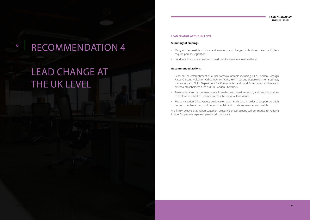### **<sup>6</sup>** RECOMMENDATION 4

### LEAD CHANGE AT THE UK LEVEL

#### **LEAD CHANGE AT THE UK LEVEL**

#### **LEAD CHANGE AT THE UK LEVEL**

#### **Summary of Findings**

- Many of the possible options and solutions e.g. changes to business rates multipliers require primary legislation.
- London is in a unique position to lead positive change at national level.

#### **Recommended actions**

- Lead on the establishment of a task force/roundtable including: GLA, London Borough Rates Officers, Valuation Office Agency (VOA), HM Treasury, Department for Business, Innovation, and Skills, Department for Communities and Local Government and relevant external stakeholders such as FSB, London Chambers.
- Present work and recommendations from this, and linked, research, and host discussions to explore how best to unblock and resolve national-level issues.
- Revise Valuation Office Agency guidance on open workspace in order to support borough teams to implement across London in as fair and consistent manner as possible.

We firmly believe that, taken together, delivering these actions will contribute to keeping London's open workspaces open for all Londoners.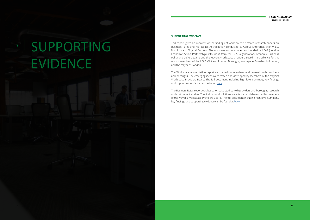**7**

# SUPPORTING EVIDENCE

#### **LEAD CHANGE AT THE UK LEVEL**

#### **SUPPORTING EVIDENCE**

The Workspace Accreditation report was based on interviews and research with providers and boroughs. The emerging ideas were tested and developed by members of the Mayor's Workspace Providers Board. The full document including high level summary, key findings and supporting evidence can be found [here](http://capitalenterprise.org/wp-content/uploads/2018/05/London-needs-an-accreditation-scheme-for-open-workspaces.pdf).

This report gives an overview of the findings of work on two detailed research papers on Business Rates and Workspace Accreditation conducted by Capital Enterprise, WorkWILD, Nordicity and Original Futures.. The work was commissioned and funded by LEAP (London Economic Action Partnership) with input from the GLA Regeneration, Economic Business Policy and Culture teams and the Mayor's Workspace providers Board. The audience for this work is members of the LEAP, GLA and London Boroughs, Workspace Providers in London, and the Mayor of London.

The Business Rates report was based on case studies with providers and boroughs, research and cost benefit studies. The findings and solutions were tested and developed by members of the Mayor's Workspace Providers Board. The full document including high level summary, key findings and supporting evidence can be found at [here.](http://capitalenterprise.org/wp-content/uploads/2018/05/Business-rates-are-not-working-for-London’s-open-workspaces.pdf)